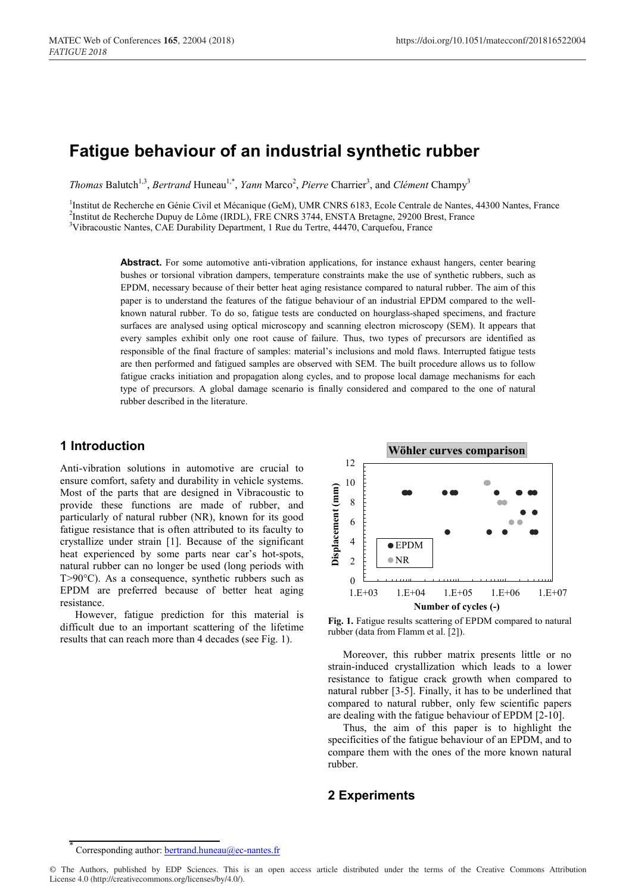# **Fatigue behaviour of an industrial synthetic rubber**

*Thomas* Balutch<sup>1,3</sup>, *Bertrand* Huneau<sup>1,\*</sup>, *Yann* Marco<sup>2</sup>, *Pierre* Charrier<sup>3</sup>, and *Clément* Champy<sup>3</sup>

<sup>1</sup>Institut de Recherche en Génie Civil et Mécanique (GeM), UMR CNRS 6183, Ecole Centrale de Nantes, 44300 Nantes, France<br><sup>2</sup>Institut de Recherche Dupuy de Lême (JBDJ), EBE CNBS 2744, ENSTA Pretegne, 20200 Breet, France <sup>2</sup>Institut de Recherche Dupuy de Lôme (IRDL), FRE CNRS 3744, ENSTA Bretagne, 29200 Brest, France <sup>3</sup>Vibracoustic Nantes, CAE Durability Department, 1 Rue du Tertre, 44470, Carquefou, France

> Abstract. For some automotive anti-vibration applications, for instance exhaust hangers, center bearing bushes or torsional vibration dampers, temperature constraints make the use of synthetic rubbers, such as EPDM, necessary because of their better heat aging resistance compared to natural rubber. The aim of this paper is to understand the features of the fatigue behaviour of an industrial EPDM compared to the wellknown natural rubber. To do so, fatigue tests are conducted on hourglass-shaped specimens, and fracture surfaces are analysed using optical microscopy and scanning electron microscopy (SEM). It appears that every samples exhibit only one root cause of failure. Thus, two types of precursors are identified as responsible of the final fracture of samples: material's inclusions and mold flaws. Interrupted fatigue tests are then performed and fatigued samples are observed with SEM. The built procedure allows us to follow fatigue cracks initiation and propagation along cycles, and to propose local damage mechanisms for each type of precursors. A global damage scenario is finally considered and compared to the one of natural rubber described in the literature.

# **1 Introduction**

Anti-vibration solutions in automotive are crucial to ensure comfort, safety and durability in vehicle systems. Most of the parts that are designed in Vibracoustic to provide these functions are made of rubber, and particularly of natural rubber (NR), known for its good fatigue resistance that is often attributed to its faculty to crystallize under strain [1]. Because of the significant heat experienced by some parts near car's hot-spots, natural rubber can no longer be used (long periods with T>90°C). As a consequence, synthetic rubbers such as EPDM are preferred because of better heat aging resistance.

However, fatigue prediction for this material is difficult due to an important scattering of the lifetime results that can reach more than 4 decades (see Fig. 1).



**Fig. 1.** Fatigue results scattering of EPDM compared to natural rubber (data from Flamm et al. [2]).

Moreover, this rubber matrix presents little or no strain-induced crystallization which leads to a lower resistance to fatigue crack growth when compared to natural rubber [3-5]. Finally, it has to be underlined that compared to natural rubber, only few scientific papers are dealing with the fatigue behaviour of EPDM [2-10].

Thus, the aim of this paper is to highlight the specificities of the fatigue behaviour of an EPDM, and to compare them with the ones of the more known natural rubber.

## **2 Experiments**

Corresponding author: **bertrand.huneau@ec-nantes.fr** 

<sup>©</sup> The Authors, published by EDP Sciences. This is an open access article distributed under the terms of the Creative Commons Attribution License 4.0 (http://creativecommons.org/licenses/by/4.0/).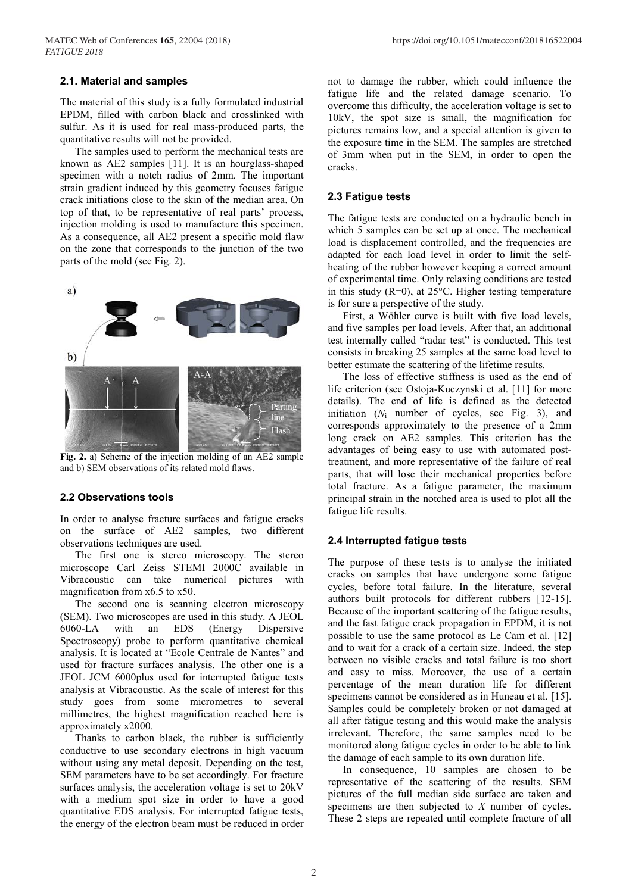#### **2.1. Material and samples**

The material of this study is a fully formulated industrial EPDM, filled with carbon black and crosslinked with sulfur. As it is used for real mass-produced parts, the quantitative results will not be provided.

The samples used to perform the mechanical tests are known as AE2 samples [11]. It is an hourglass-shaped specimen with a notch radius of 2mm. The important strain gradient induced by this geometry focuses fatigue crack initiations close to the skin of the median area. On top of that, to be representative of real parts' process, injection molding is used to manufacture this specimen. As a consequence, all AE2 present a specific mold flaw on the zone that corresponds to the junction of the two parts of the mold (see Fig. 2).



**Fig. 2.** a) Scheme of the injection molding of an AE2 sample and b) SEM observations of its related mold flaws.

#### **2.2 Observations tools**

In order to analyse fracture surfaces and fatigue cracks on the surface of AE2 samples, two different observations techniques are used.

The first one is stereo microscopy. The stereo microscope Carl Zeiss STEMI 2000C available in Vibracoustic can take numerical pictures with magnification from x6.5 to x50.

The second one is scanning electron microscopy (SEM). Two microscopes are used in this study. A JEOL 6060-LA with an EDS (Energy Dispersive Spectroscopy) probe to perform quantitative chemical analysis. It is located at "Ecole Centrale de Nantes" and used for fracture surfaces analysis. The other one is a JEOL JCM 6000plus used for interrupted fatigue tests analysis at Vibracoustic. As the scale of interest for this study goes from some micrometres to several millimetres, the highest magnification reached here is approximately x2000.

Thanks to carbon black, the rubber is sufficiently conductive to use secondary electrons in high vacuum without using any metal deposit. Depending on the test, SEM parameters have to be set accordingly. For fracture surfaces analysis, the acceleration voltage is set to 20kV with a medium spot size in order to have a good quantitative EDS analysis. For interrupted fatigue tests, the energy of the electron beam must be reduced in order

not to damage the rubber, which could influence the fatigue life and the related damage scenario. To overcome this difficulty, the acceleration voltage is set to 10kV, the spot size is small, the magnification for pictures remains low, and a special attention is given to the exposure time in the SEM. The samples are stretched of 3mm when put in the SEM, in order to open the cracks.

#### **2.3 Fatigue tests**

The fatigue tests are conducted on a hydraulic bench in which 5 samples can be set up at once. The mechanical load is displacement controlled, and the frequencies are adapted for each load level in order to limit the selfheating of the rubber however keeping a correct amount of experimental time. Only relaxing conditions are tested in this study  $(R=0)$ , at 25 $^{\circ}$ C. Higher testing temperature is for sure a perspective of the study.

First, a Wöhler curve is built with five load levels, and five samples per load levels. After that, an additional test internally called "radar test" is conducted. This test consists in breaking 25 samples at the same load level to better estimate the scattering of the lifetime results.

The loss of effective stiffness is used as the end of life criterion (see Ostoja-Kuczynski et al. [11] for more details). The end of life is defined as the detected initiation (*N*<sup>i</sup> number of cycles, see Fig. 3), and corresponds approximately to the presence of a 2mm long crack on AE2 samples. This criterion has the advantages of being easy to use with automated posttreatment, and more representative of the failure of real parts, that will lose their mechanical properties before total fracture. As a fatigue parameter, the maximum principal strain in the notched area is used to plot all the fatigue life results.

#### **2.4 Interrupted fatigue tests**

The purpose of these tests is to analyse the initiated cracks on samples that have undergone some fatigue cycles, before total failure. In the literature, several authors built protocols for different rubbers [12-15]. Because of the important scattering of the fatigue results, and the fast fatigue crack propagation in EPDM, it is not possible to use the same protocol as Le Cam et al. [12] and to wait for a crack of a certain size. Indeed, the step between no visible cracks and total failure is too short and easy to miss. Moreover, the use of a certain percentage of the mean duration life for different specimens cannot be considered as in Huneau et al. [15]. Samples could be completely broken or not damaged at all after fatigue testing and this would make the analysis irrelevant. Therefore, the same samples need to be monitored along fatigue cycles in order to be able to link the damage of each sample to its own duration life.

In consequence, 10 samples are chosen to be representative of the scattering of the results. SEM pictures of the full median side surface are taken and specimens are then subjected to *X* number of cycles. These 2 steps are repeated until complete fracture of all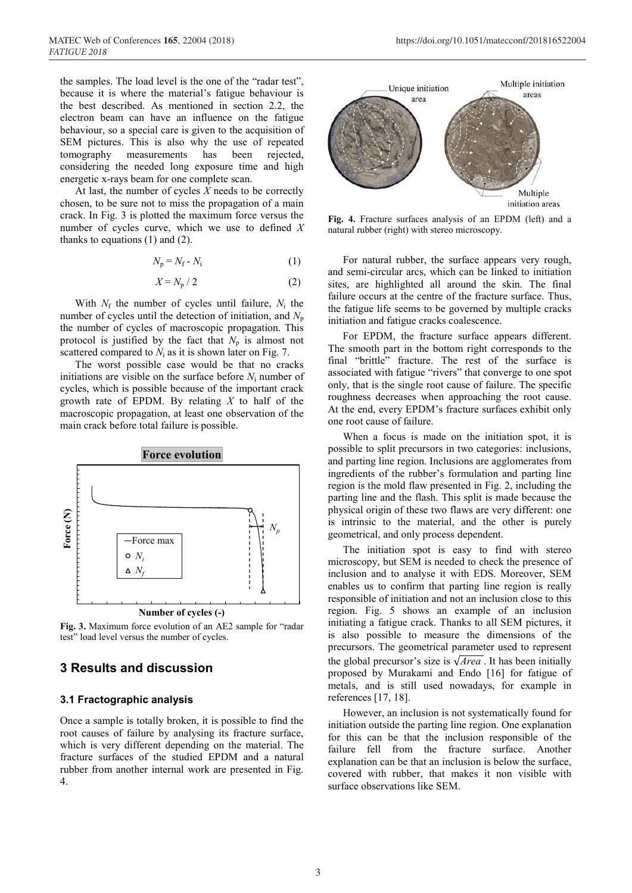the samples. The load level is the one of the "radar test", because it is where the material's fatigue behaviour is the best described. As mentioned in section 2.2, the electron beam can have an influence on the fatigue behaviour, so a special care is given to the acquisition of SEM pictures. This is also why the use of repeated tomography measurements has been rejected, considering the needed long exposure time and high energetic x-rays beam for one complete scan.

At last, the number of cycles *X* needs to be correctly chosen, to be sure not to miss the propagation of a main crack. In Fig. 3 is plotted the maximum force versus the number of cycles curve, which we use to defined *X*  thanks to equations (1) and (2).

$$
N_{\rm p} = N_{\rm f} - N_{\rm i} \tag{1}
$$

$$
X = N_{\rm p} / 2 \tag{2}
$$

With  $N_f$  the number of cycles until failure,  $N_i$  the number of cycles until the detection of initiation, and N<sub>p</sub> the number of cycles of macroscopic propagation. This protocol is justified by the fact that  $N_p$  is almost not scattered compared to  $N_i$  as it is shown later on Fig. 7.

The worst possible case would be that no cracks initiations are visible on the surface before  $N_i$  number of cycles, which is possible because of the important crack growth rate of EPDM. By relating *X* to half of the macroscopic propagation, at least one observation of the main crack before total failure is possible.



**Fig. 3.** Maximum force evolution of an AE2 sample for "radar test" load level versus the number of cycles.

# **3 Results and discussion**

#### **3.1 Fractographic analysis**

Once a sample is totally broken, it is possible to find the root causes of failure by analysing its fracture surface, which is very different depending on the material. The fracture surfaces of the studied EPDM and a natural rubber from another internal work are presented in Fig. 4.



**Fig. 4.** Fracture surfaces analysis of an EPDM (left) and a natural rubber (right) with stereo microscopy.

For natural rubber, the surface appears very rough, and semi-circular arcs, which can be linked to initiation sites, are highlighted all around the skin. The final failure occurs at the centre of the fracture surface. Thus, the fatigue life seems to be governed by multiple cracks initiation and fatigue cracks coalescence.

For EPDM, the fracture surface appears different. The smooth part in the bottom right corresponds to the final "brittle" fracture. The rest of the surface is associated with fatigue "rivers" that converge to one spot only, that is the single root cause of failure. The specific roughness decreases when approaching the root cause. At the end, every EPDM's fracture surfaces exhibit only one root cause of failure.

When a focus is made on the initiation spot, it is possible to split precursors in two categories: inclusions, and parting line region. Inclusions are agglomerates from ingredients of the rubber's formulation and parting line region is the mold flaw presented in Fig. 2, including the parting line and the flash. This split is made because the physical origin of these two flaws are very different: one is intrinsic to the material, and the other is purely geometrical, and only process dependent.

The initiation spot is easy to find with stereo microscopy, but SEM is needed to check the presence of inclusion and to analyse it with EDS. Moreover, SEM enables us to confirm that parting line region is really responsible of initiation and not an inclusion close to this region. Fig. 5 shows an example of an inclusion initiating a fatigue crack. Thanks to all SEM pictures, it is also possible to measure the dimensions of the precursors. The geometrical parameter used to represent the global precursor's size is  $\sqrt{Area}$ . It has been initially proposed by Murakami and Endo [16] for fatigue of metals, and is still used nowadays, for example in references [17, 18].

However, an inclusion is not systematically found for initiation outside the parting line region. One explanation for this can be that the inclusion responsible of the failure fell from the fracture surface. Another explanation can be that an inclusion is below the surface, covered with rubber, that makes it non visible with surface observations like SEM.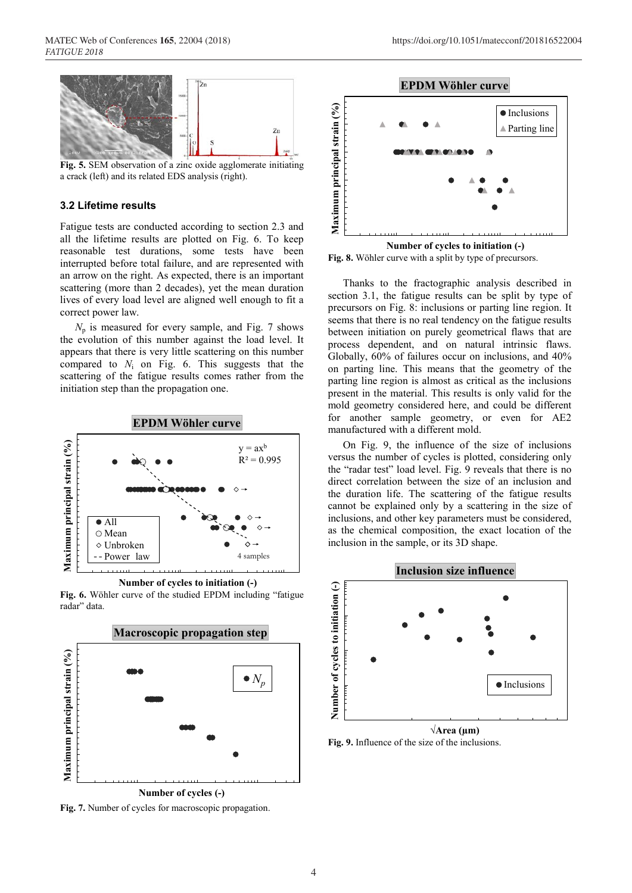

**Fig. 5.** SEM observation of a zinc oxide agglomerate initiating a crack (left) and its related EDS analysis (right).

#### **3.2 Lifetime results**

Fatigue tests are conducted according to section 2.3 and all the lifetime results are plotted on Fig. 6. To keep reasonable test durations, some tests have been interrupted before total failure, and are represented with an arrow on the right. As expected, there is an important scattering (more than 2 decades), yet the mean duration lives of every load level are aligned well enough to fit a correct power law.

 $N_p$  is measured for every sample, and Fig. 7 shows the evolution of this number against the load level. It appears that there is very little scattering on this number compared to  $N_i$  on Fig. 6. This suggests that the scattering of the fatigue results comes rather from the initiation step than the propagation one.



**Fig. 6.** Wöhler curve of the studied EPDM including "fatigue radar" data. **Number of cycles to initiation (-)**



**Fig. 7.** Number of cycles for macroscopic propagation.



**Fig. 8.** Wöhler curve with a split by type of precursors.

Thanks to the fractographic analysis described in section 3.1, the fatigue results can be split by type of precursors on Fig. 8: inclusions or parting line region. It seems that there is no real tendency on the fatigue results between initiation on purely geometrical flaws that are process dependent, and on natural intrinsic flaws. Globally, 60% of failures occur on inclusions, and 40% on parting line. This means that the geometry of the parting line region is almost as critical as the inclusions present in the material. This results is only valid for the mold geometry considered here, and could be different for another sample geometry, or even for AE2 manufactured with a different mold.

On Fig. 9, the influence of the size of inclusions versus the number of cycles is plotted, considering only the "radar test" load level. Fig. 9 reveals that there is no direct correlation between the size of an inclusion and the duration life. The scattering of the fatigue results cannot be explained only by a scattering in the size of inclusions, and other key parameters must be considered, as the chemical composition, the exact location of the inclusion in the sample, or its 3D shape.



**Fig. 9.** Influence of the size of the inclusions.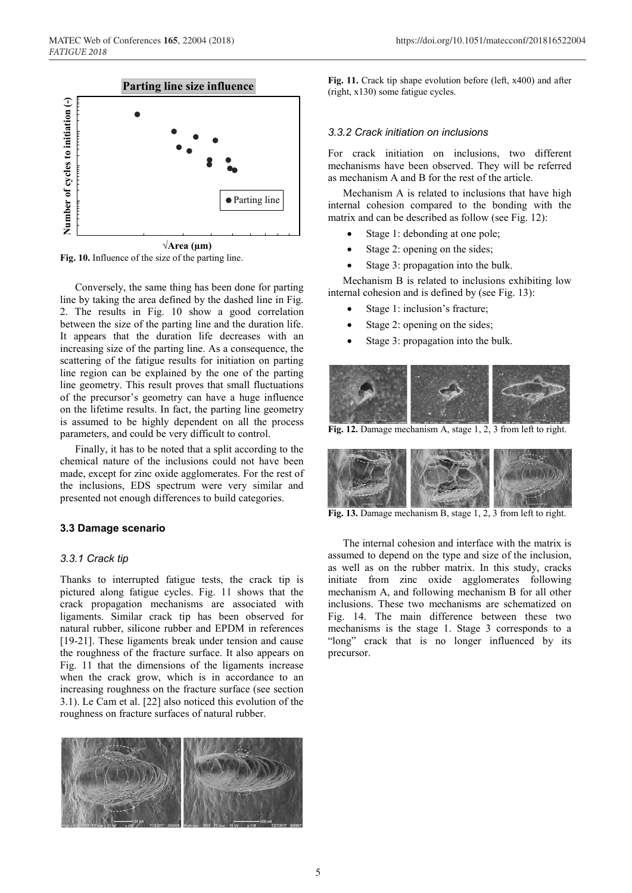

**Fig. 10.** Influence of the size of the parting line. **√Area (µm)**

Conversely, the same thing has been done for parting line by taking the area defined by the dashed line in Fig. 2. The results in Fig. 10 show a good correlation between the size of the parting line and the duration life. It appears that the duration life decreases with an increasing size of the parting line. As a consequence, the scattering of the fatigue results for initiation on parting line region can be explained by the one of the parting line geometry. This result proves that small fluctuations of the precursor's geometry can have a huge influence on the lifetime results. In fact, the parting line geometry is assumed to be highly dependent on all the process parameters, and could be very difficult to control.

Finally, it has to be noted that a split according to the chemical nature of the inclusions could not have been made, except for zinc oxide agglomerates. For the rest of the inclusions, EDS spectrum were very similar and presented not enough differences to build categories.

#### **3.3 Damage scenario**

#### *3.3.1 Crack tip*

Thanks to interrupted fatigue tests, the crack tip is pictured along fatigue cycles. Fig. 11 shows that the crack propagation mechanisms are associated with ligaments. Similar crack tip has been observed for natural rubber, silicone rubber and EPDM in references [19-21]. These ligaments break under tension and cause the roughness of the fracture surface. It also appears on Fig. 11 that the dimensions of the ligaments increase when the crack grow, which is in accordance to an increasing roughness on the fracture surface (see section 3.1). Le Cam et al. [22] also noticed this evolution of the roughness on fracture surfaces of natural rubber.



**Fig. 11.** Crack tip shape evolution before (left, x400) and after (right, x130) some fatigue cycles.

#### *3.3.2 Crack initiation on inclusions*

For crack initiation on inclusions, two different mechanisms have been observed. They will be referred as mechanism A and B for the rest of the article.

Mechanism A is related to inclusions that have high internal cohesion compared to the bonding with the matrix and can be described as follow (see Fig. 12):

- Stage 1: debonding at one pole;
- Stage 2: opening on the sides;
- Stage 3: propagation into the bulk.

Mechanism B is related to inclusions exhibiting low internal cohesion and is defined by (see Fig. 13):

- Stage 1: inclusion's fracture;
- Stage 2: opening on the sides;
- Stage 3: propagation into the bulk.



**Fig. 12.** Damage mechanism A, stage 1, 2, 3 from left to right.



**Fig. 13.** Damage mechanism B, stage 1, 2, 3 from left to right.

The internal cohesion and interface with the matrix is assumed to depend on the type and size of the inclusion, as well as on the rubber matrix. In this study, cracks initiate from zinc oxide agglomerates following mechanism A, and following mechanism B for all other inclusions. These two mechanisms are schematized on Fig. 14. The main difference between these two mechanisms is the stage 1. Stage 3 corresponds to a "long" crack that is no longer influenced by its precursor.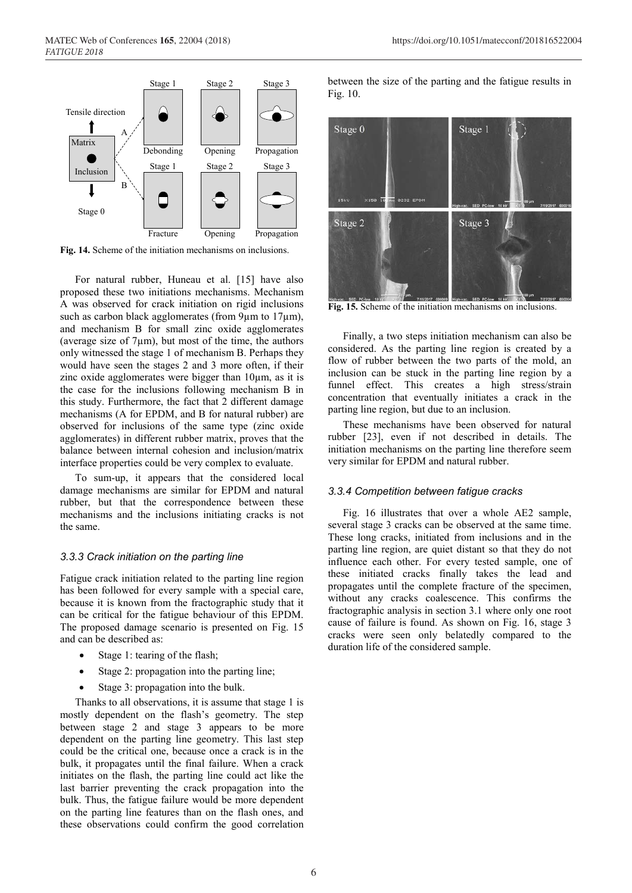

**Fig. 14.** Scheme of the initiation mechanisms on inclusions.

For natural rubber, Huneau et al. [15] have also proposed these two initiations mechanisms. Mechanism A was observed for crack initiation on rigid inclusions such as carbon black agglomerates (from 9 $\mu$ m to 17 $\mu$ m), and mechanism B for small zinc oxide agglomerates (average size of  $7\mu$ m), but most of the time, the authors only witnessed the stage 1 of mechanism B. Perhaps they would have seen the stages 2 and 3 more often, if their zinc oxide agglomerates were bigger than  $10\mu$ m, as it is the case for the inclusions following mechanism B in this study. Furthermore, the fact that 2 different damage mechanisms (A for EPDM, and B for natural rubber) are observed for inclusions of the same type (zinc oxide agglomerates) in different rubber matrix, proves that the balance between internal cohesion and inclusion/matrix interface properties could be very complex to evaluate.

To sum-up, it appears that the considered local damage mechanisms are similar for EPDM and natural rubber, but that the correspondence between these mechanisms and the inclusions initiating cracks is not the same.

#### *3.3.3 Crack initiation on the parting line*

Fatigue crack initiation related to the parting line region has been followed for every sample with a special care, because it is known from the fractographic study that it can be critical for the fatigue behaviour of this EPDM. The proposed damage scenario is presented on Fig. 15 and can be described as:

- Stage 1: tearing of the flash;
- Stage 2: propagation into the parting line;
- Stage 3: propagation into the bulk.

Thanks to all observations, it is assume that stage 1 is mostly dependent on the flash's geometry. The step between stage 2 and stage 3 appears to be more dependent on the parting line geometry. This last step could be the critical one, because once a crack is in the bulk, it propagates until the final failure. When a crack initiates on the flash, the parting line could act like the last barrier preventing the crack propagation into the bulk. Thus, the fatigue failure would be more dependent on the parting line features than on the flash ones, and these observations could confirm the good correlation

between the size of the parting and the fatigue results in Fig. 10.



**Fig. 15.** Scheme of the initiation mechanisms on inclusions.

Finally, a two steps initiation mechanism can also be considered. As the parting line region is created by a flow of rubber between the two parts of the mold, an inclusion can be stuck in the parting line region by a funnel effect. This creates a high stress/strain concentration that eventually initiates a crack in the parting line region, but due to an inclusion.

These mechanisms have been observed for natural rubber [23], even if not described in details. The initiation mechanisms on the parting line therefore seem very similar for EPDM and natural rubber.

#### *3.3.4 Competition between fatigue cracks*

Fig. 16 illustrates that over a whole AE2 sample, several stage 3 cracks can be observed at the same time. These long cracks, initiated from inclusions and in the parting line region, are quiet distant so that they do not influence each other. For every tested sample, one of these initiated cracks finally takes the lead and propagates until the complete fracture of the specimen, without any cracks coalescence. This confirms the fractographic analysis in section 3.1 where only one root cause of failure is found. As shown on Fig. 16, stage 3 cracks were seen only belatedly compared to the duration life of the considered sample.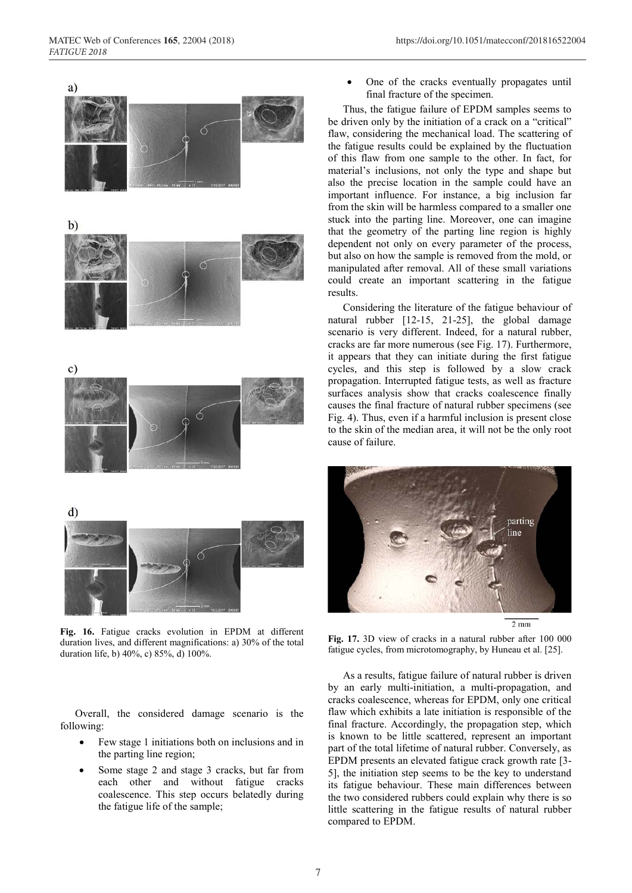

 $b)$ 



 $\mathbf{C}$ 





**Fig. 16.** Fatigue cracks evolution in EPDM at different duration lives, and different magnifications: a) 30% of the total duration life, b) 40%, c) 85%, d) 100%.

Overall, the considered damage scenario is the following:

- Few stage 1 initiations both on inclusions and in the parting line region;
- Some stage 2 and stage 3 cracks, but far from each other and without fatigue cracks coalescence. This step occurs belatedly during the fatigue life of the sample;

• One of the cracks eventually propagates until final fracture of the specimen.

Thus, the fatigue failure of EPDM samples seems to be driven only by the initiation of a crack on a "critical" flaw, considering the mechanical load. The scattering of the fatigue results could be explained by the fluctuation of this flaw from one sample to the other. In fact, for material's inclusions, not only the type and shape but also the precise location in the sample could have an important influence. For instance, a big inclusion far from the skin will be harmless compared to a smaller one stuck into the parting line. Moreover, one can imagine that the geometry of the parting line region is highly dependent not only on every parameter of the process, but also on how the sample is removed from the mold, or manipulated after removal. All of these small variations could create an important scattering in the fatigue results.

Considering the literature of the fatigue behaviour of natural rubber [12-15, 21-25], the global damage scenario is very different. Indeed, for a natural rubber, cracks are far more numerous (see Fig. 17). Furthermore, it appears that they can initiate during the first fatigue cycles, and this step is followed by a slow crack propagation. Interrupted fatigue tests, as well as fracture surfaces analysis show that cracks coalescence finally causes the final fracture of natural rubber specimens (see Fig. 4). Thus, even if a harmful inclusion is present close to the skin of the median area, it will not be the only root cause of failure.



 $2 \text{ mm}$ 

**Fig. 17.** 3D view of cracks in a natural rubber after 100 000 fatigue cycles, from microtomography, by Huneau et al. [25].

As a results, fatigue failure of natural rubber is driven by an early multi-initiation, a multi-propagation, and cracks coalescence, whereas for EPDM, only one critical flaw which exhibits a late initiation is responsible of the final fracture. Accordingly, the propagation step, which is known to be little scattered, represent an important part of the total lifetime of natural rubber. Conversely, as EPDM presents an elevated fatigue crack growth rate [3- 5], the initiation step seems to be the key to understand its fatigue behaviour. These main differences between the two considered rubbers could explain why there is so little scattering in the fatigue results of natural rubber compared to EPDM.